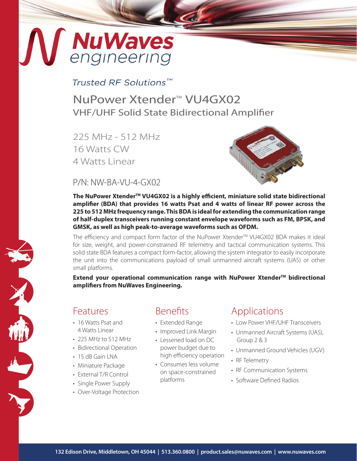# **NuWaves**<br>engineering

## Trusted RF Solutions™

NuPower Xtender<sup>™</sup> VU4GX02 VHF/UHF Solid State Bidirectional Amplifier

225 MHz - 512 MHz 16 Watts CW 4 Watts Linear



P/N: NW-BA-VU-4-GX02

The NuPower Xtender<sup>™</sup> VU4GX02 is a highly efficient, miniature solid state bidirectional **amplifier (BDA) that provides 16 watts Psat and 4 watts of linear RF power across the 225 to 512 MHz frequency range. This BDA is ideal for extending the communication range of half-duplex transceivers running constant envelope waveforms such as FM, BPSK, and GMSK, as well as high peak-to-average waveforms such as OFDM.**

The efficiency and compact form factor of the NuPower Xtender™ VU4GX02 BDA makes it ideal for size, weight, and power-constrained RF telemetry and tactical communication systems. This solid state BDA features a compact form-factor, allowing the system integrator to easily incorporate the unit into the communications payload of small unmanned aircraft systems (UAS) or other small platforms.

**Extend your operational communication range with NuPower Xtender™ bidirectional amplifiers from NuWaves Engineering.**

## Features

- 16 Watts Psat and 4 Watts Linear
- 225 MHz to 512 MHz
- Bidirectional Operation
- $\cdot$  15 dB Gain LNA
- Miniature Package
- External T/R Control
- Single Power Supply
- Over-Voltage Protection

## Benefits

- Extended Range
- Improved Link Margin
- Lessened load on DC power budget due to high efficiency operation
- Consumes less volume on space-constrained platforms

# Applications

- Low Power VHF/UHF Transceivers
- Unmanned Aircraft Systems (UAS), Group 2 & 3
- Unmanned Ground Vehicles (UGV)
- RF Telemetry
- RF Communication Systems
- Software Defined Radios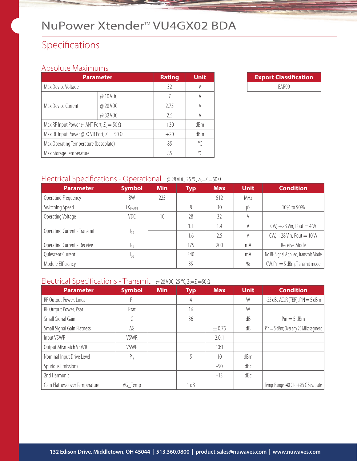# NuPower Xtender<sup>™</sup> VU4GX02 BDA

# Specifications

#### Absolute Maximums

| <b>Parameter</b>                                  | <b>Rating</b> | <b>Unit</b> |     |
|---------------------------------------------------|---------------|-------------|-----|
| Max Device Voltage                                |               | 32          |     |
|                                                   | @ 10 VDC      |             |     |
| Max Device Current                                | @ 28 VDC      | 2.75        | A   |
|                                                   | @ 32 VDC      | 25          | A   |
| Max RF Input Power @ ANT Port, $Z_1 = 50 \Omega$  |               | $+30$       | dBm |
| Max RF Input Power @ XCVR Port, $Z_L = 50 \Omega$ |               | $+20$       | dBm |
| Max Operating Temperature (baseplate)             | 85            | °C          |     |
| Max Storage Temperature                           |               | 85          | °∩  |



#### Electrical Specifications - Operational @ 28 VDC, 25 °C, Z<sub>S</sub>=Z<sub>L</sub>=50 Ω

| <b>Parameter</b>             | <b>Symbol</b>          | <b>Min</b> | <b>Typ</b> | <b>Max</b> | <b>Unit</b> | <b>Condition</b>                    |
|------------------------------|------------------------|------------|------------|------------|-------------|-------------------------------------|
| Operating Frequency          | BW                     | 225        |            | 512        | MHz         |                                     |
| Switching Speed              | TX <sub>ON/OFF</sub>   |            | 8          | 10         | uS          | 10% to 90%                          |
| Operating Voltage            | VDC.                   | 10         | 28         | 32         |             |                                     |
|                              |                        |            | 1.1        | 1.4        | A           | $CW, +28$ Vin, Pout = $4W$          |
| Operating Current - Transmit | I <sub>DD</sub>        |            | 1.6        | 2.5        | A           | CW, $+28$ Vin, Pout = $10$ W        |
| Operating Current - Receive  | <b>I</b> <sub>DD</sub> |            | 175        | 200        | mA          | Receive Mode                        |
| Quiescent Current            | $I_{D0}$               |            | 340        |            | mA          | No RF Signal Applied, Transmit Mode |
| Module Efficiency            |                        |            | 35         |            | $\%$        | $CW$ , Pin $=$ 5 dBm, Transmit mode |

#### Electrical Specifications - Transmit @ 28 VDC, 25 °C, Z<sub>S</sub>=Z<sub>L</sub>=50 Ω

| <b>Parameter</b>               | <b>Symbol</b>   | <b>Min</b> | <b>Typ</b> | <b>Max</b> | <b>Unit</b> | <b>Condition</b>                     |
|--------------------------------|-----------------|------------|------------|------------|-------------|--------------------------------------|
| RF Output Power, Linear        | $P_{\perp}$     |            | 4          |            | W           | $-33$ dBc ACLR (TBR), PIN $=$ 5 dBm  |
| RF Output Power, Psat          | Psat            |            | 16         |            | W           |                                      |
| Small Signal Gain              | G               |            | 36         |            | dB          | $Pin = 5$ dBm                        |
| Small Signal Gain Flatness     | ΔG              |            |            | $\pm 0.75$ | dB          | Pin = 5 dBm; Over any 25 MHz segment |
| Input VSWR                     | <b>VSWR</b>     |            |            | 2.0:1      |             |                                      |
| Output Mismatch VSWR           | <b>VSWR</b>     |            |            | 10:1       |             |                                      |
| Nominal Input Drive Level      | $P_{IN}$        |            |            | 10         | dBm         |                                      |
| Spurious Emissions             |                 |            |            | $-50$      | dBc         |                                      |
| 2nd Harmonic                   |                 |            |            | $-13$      | dBc         |                                      |
| Gain Flatness over Temperature | $\Delta G$ Temp |            | l dB       |            |             | Temp. Range -40 C to +85 C Baseplate |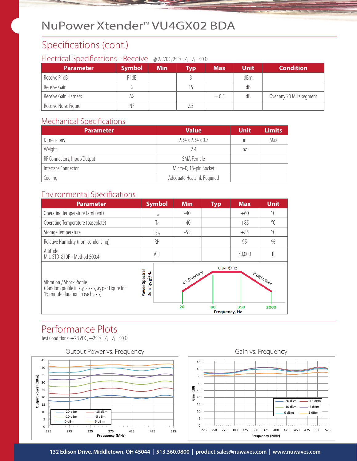# NuPower Xtender<sup>™</sup> VU4GX02 BDA

# Specifications (cont.)

#### Electrical Specifications - Receive @ 28 VDC, 25 °C, Z<sub>S</sub>=Z<sub>L</sub>=50 Ω

| <b>Parameter</b>      | <b>Symbol</b>                 | <b>Min</b> | <b>Typ</b> | <b>Max</b> | <b>Unit</b> | <b>Condition</b>        |
|-----------------------|-------------------------------|------------|------------|------------|-------------|-------------------------|
| Receive P1dB          | P <sub>1</sub> d <sub>B</sub> |            |            |            | dBm         |                         |
| Receive Gain          |                               |            | 15         |            | dB          |                         |
| Receive Gain Flatness | ΛG                            |            |            | $\pm 0.5$  | dB          | Over any 20 MHz segment |
| Receive Noise Figure  | NF                            |            | 2.5        |            |             |                         |

#### Mechanical Specifications

| <b>Parameter</b>            | <b>Value</b>                  | <b>Unit</b> | <b>Limits</b> |
|-----------------------------|-------------------------------|-------------|---------------|
| <b>Dimensions</b>           | $2.34 \times 2.34 \times 0.7$ | in          | Max           |
| Weight                      | 2.4                           | 0Z          |               |
| RF Connectors, Input/Output | SMA Female                    |             |               |
| Interface Connector         | Micro-D, 15-pin Socket        |             |               |
| Cooling                     | Adequate Heatsink Required    |             |               |

#### Environmental Specifications



# Performance Plots

Test Conditions:  $+28$  VDC,  $+25$  °C,  $Z_s = Z_l = 50 \Omega$ 





Gain vs. Frequency

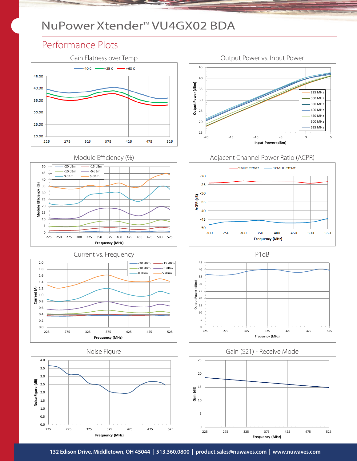# NuPower Xtender<sup>™</sup> VU4GX02 BDA

# Performance Plots





Current vs. Frequency **P1dB**